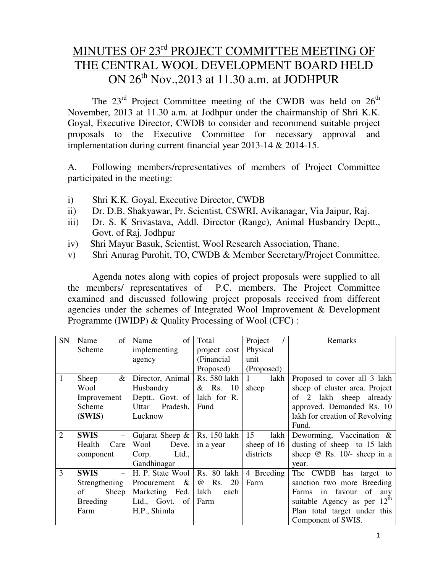# MINUTES OF 23<sup>rd</sup> PROJECT COMMITTEE MEETING OF THE CENTRAL WOOL DEVELOPMENT BOARD HELD ON  $26<sup>th</sup>$  Nov., 2013 at 11.30 a.m. at JODHPUR

The  $23<sup>rd</sup>$  Project Committee meeting of the CWDB was held on  $26<sup>th</sup>$ November, 2013 at 11.30 a.m. at Jodhpur under the chairmanship of Shri K.K. Goyal, Executive Director, CWDB to consider and recommend suitable project proposals to the Executive Committee for necessary approval and implementation during current financial year 2013-14 & 2014-15.

A. Following members/representatives of members of Project Committee participated in the meeting:

- i) Shri K.K. Goyal, Executive Director, CWDB
- ii) Dr. D.B. Shakyawar, Pr. Scientist, CSWRI, Avikanagar, Via Jaipur, Raj.
- iii) Dr. S. K Srivastava, Addl. Director (Range), Animal Husbandry Deptt., Govt. of Raj. Jodhpur
- iv) Shri Mayur Basuk, Scientist, Wool Research Association, Thane.
- v) Shri Anurag Purohit, TO, CWDB & Member Secretary/Project Committee.

 Agenda notes along with copies of project proposals were supplied to all the members/ representatives of P.C. members. The Project Committee examined and discussed following project proposals received from different agencies under the schemes of Integrated Wool Improvement & Development Programme (IWIDP) & Quality Processing of Wool (CFC) :

| SN             | of<br>Name      | of<br>Name         | Total                | Project              | Remarks                                 |
|----------------|-----------------|--------------------|----------------------|----------------------|-----------------------------------------|
|                | <b>Scheme</b>   | implementing       | project cost         | Physical             |                                         |
|                |                 | agency             | (Financial)          | unit                 |                                         |
|                |                 |                    | Proposed)            | (Proposed)           |                                         |
| $\mathbf{1}$   | &<br>Sheep      | Director, Animal   | Rs. 580 lakh         | lakh<br>$\mathbf{1}$ | Proposed to cover all 3 lakh            |
|                | Wool            | Husbandry          | & Rs. 10             | sheep                | sheep of cluster area. Project          |
|                | Improvement     | Deptt., Govt. of   | lakh for R.          |                      | of 2 lakh sheep already                 |
|                | Scheme          | Uttar Pradesh,     | Fund                 |                      | approved. Demanded Rs. 10               |
|                | (SWIS)          | Lucknow            |                      |                      | lakh for creation of Revolving          |
|                |                 |                    |                      |                      | Fund.                                   |
| 2              | <b>SWIS</b>     | Gujarat Sheep $\&$ | Rs. 150 lakh         | 15<br>lakh           | Deworming, Vaccination $\&$             |
|                | Health<br>Care  | Wool<br>Deve.      | in a year            | sheep of $16$        | dusting of sheep to 15 lakh             |
|                | component       | Ltd.,<br>Corp.     |                      | districts            | sheep $@$ Rs. 10/- sheep in a           |
|                |                 | Gandhinagar        |                      |                      | year.                                   |
| $\overline{3}$ | <b>SWIS</b>     | H. P. State Wool   | Rs. 80 lakh          | 4 Breeding           | The CWDB has target to                  |
|                | Strengthening   | Procurement $\&$   | Rs.<br>20<br>$^{\,}$ | Farm                 | sanction two more Breeding              |
|                | of<br>Sheep     | Marketing Fed.     | lakh<br>each         |                      | Farms in favour of<br>any               |
|                | <b>Breeding</b> | Ltd., Govt. of     | Farm                 |                      | suitable Agency as per 12 <sup>th</sup> |
|                | Farm            | H.P., Shimla       |                      |                      | Plan total target under this            |
|                |                 |                    |                      |                      | Component of SWIS.                      |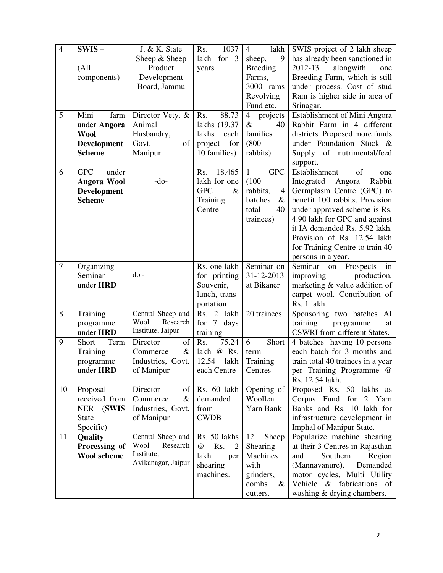| $\overline{4}$ | $SWIS -$            | J. & K. State                                                                                               | 1037<br>Rs.                             | lakh<br>4                  | SWIS project of 2 lakh sheep      |
|----------------|---------------------|-------------------------------------------------------------------------------------------------------------|-----------------------------------------|----------------------------|-----------------------------------|
|                |                     | Sheep & Sheep                                                                                               | lakh<br>for $3$                         | 9<br>sheep,                | has already been sanctioned in    |
|                | (A <sup>11</sup> )  | Product                                                                                                     | years                                   | <b>Breeding</b>            | alongwith<br>2012-13<br>one       |
|                | components)         | Development                                                                                                 |                                         | Farms,                     | Breeding Farm, which is still     |
|                |                     | Board, Jammu                                                                                                |                                         | 3000 rams                  | under process. Cost of stud       |
|                |                     |                                                                                                             |                                         | Revolving                  | Ram is higher side in area of     |
|                |                     |                                                                                                             |                                         | Fund etc.                  | Srinagar.                         |
| 5              | Mini<br>farm        | Director Vety. &                                                                                            | 88.73<br>Rs.                            | $\overline{4}$<br>projects | Establishment of Mini Angora      |
|                | under Angora        | Animal                                                                                                      | lakhs (19.37                            | $\&$<br>40                 | Rabbit Farm in 4 different        |
|                | <b>Wool</b>         | Husbandry,                                                                                                  | lakhs<br>each                           | families                   | districts. Proposed more funds    |
|                | <b>Development</b>  | $% \left( \left( \mathcal{A},\mathcal{A}\right) \right) =\left( \mathcal{A},\mathcal{A}\right)$ of<br>Govt. | for<br>project                          | (800)                      | under Foundation Stock &          |
|                | <b>Scheme</b>       | Manipur                                                                                                     | 10 families)                            | rabbits)                   | of nutrimental/feed<br>Supply     |
|                |                     |                                                                                                             |                                         |                            | support.                          |
| 6              | <b>GPC</b><br>under |                                                                                                             | 18.465<br>Rs.                           | <b>GPC</b><br>$\mathbf{1}$ | Establishment<br>of<br>one        |
|                | Angora Wool         | $-do-$                                                                                                      | lakh for one                            | (100)                      | Angora<br>Integrated<br>Rabbit    |
|                | <b>Development</b>  |                                                                                                             | <b>GPC</b><br>$\&$                      | rabbits,<br>4              | Germplasm Centre (GPC) to         |
|                | <b>Scheme</b>       |                                                                                                             | Training                                | batches<br>$\&$            | benefit 100 rabbits. Provision    |
|                |                     |                                                                                                             | Centre                                  | total<br>40                | under approved scheme is Rs.      |
|                |                     |                                                                                                             |                                         | trainees)                  | 4.90 lakh for GPC and against     |
|                |                     |                                                                                                             |                                         |                            | it IA demanded Rs. 5.92 lakh.     |
|                |                     |                                                                                                             |                                         |                            | Provision of Rs. 12.54 lakh       |
|                |                     |                                                                                                             |                                         |                            | for Training Centre to train 40   |
|                |                     |                                                                                                             |                                         |                            | persons in a year.                |
| $\tau$         | Organizing          |                                                                                                             | Rs. one lakh                            | Seminar on                 | Seminar<br>Prospects<br>on<br>in  |
|                | Seminar             | do-                                                                                                         | for printing                            | 31-12-2013                 | improving<br>production,          |
|                | under HRD           |                                                                                                             | Souvenir,                               | at Bikaner                 | marketing & value addition of     |
|                |                     |                                                                                                             | lunch, trans-                           |                            | carpet wool. Contribution of      |
|                |                     |                                                                                                             | portation                               |                            | Rs. 1 lakh.                       |
| 8              | Training            | Central Sheep and                                                                                           | lakh<br>Rs.<br>$\overline{2}$           | 20 trainees                | Sponsoring two batches AI         |
|                | programme           | Wool<br>Research                                                                                            | for<br>$7\overline{ }$<br>days          |                            | training<br>programme<br>at       |
|                | under HRD           | Institute, Jaipur                                                                                           | training                                |                            | CSWRI from different States.      |
| 9              | Short<br>Term       | of<br>Director                                                                                              | 75.24<br>Rs.                            | 6<br>Short                 | 4 batches having 10 persons       |
|                | Training            | $\&$<br>Commerce                                                                                            | @ Rs.<br>lakh                           | term                       | each batch for 3 months and       |
|                | programme           | Industries, Govt.                                                                                           | 12.54<br>lakh                           | Training                   | train total 40 trainees in a year |
|                | under HRD           | of Manipur                                                                                                  | each Centre                             | Centres                    | per Training Programme @          |
|                |                     |                                                                                                             |                                         |                            | Rs. 12.54 lakh.                   |
| 10             | Proposal            | of<br>Director                                                                                              | Rs. 60 lakh                             | Opening of                 | Proposed Rs. 50 lakhs as          |
|                | received from       | Commerce<br>$\&$                                                                                            | demanded                                | Woollen                    | Corpus Fund for 2 Yarn            |
|                | (SWIS<br><b>NER</b> | Industries, Govt.                                                                                           | from                                    | Yarn Bank                  | Banks and Rs. 10 lakh for         |
|                | <b>State</b>        | of Manipur                                                                                                  | <b>CWDB</b>                             |                            | infrastructure development in     |
|                | Specific)           |                                                                                                             |                                         |                            | Imphal of Manipur State.          |
| 11             | Quality             | Central Sheep and                                                                                           | Rs. 50 lakhs                            | 12<br>Sheep                | Popularize machine shearing       |
|                | Processing of       | Research<br>Wool                                                                                            | Rs.<br>$^{\circledR}$<br>$\overline{2}$ | Shearing                   | at their 3 Centres in Rajasthan   |
|                | <b>Wool scheme</b>  | Institute,<br>Avikanagar, Jaipur                                                                            | lakh<br>per                             | Machines                   | Southern<br>Region<br>and         |
|                |                     |                                                                                                             | shearing                                | with                       | (Mannavanure).<br>Demanded        |
|                |                     |                                                                                                             | machines.                               | grinders,                  | motor cycles, Multi Utility       |
|                |                     |                                                                                                             |                                         | combs<br>$\&$              | Vehicle & fabrications of         |
|                |                     |                                                                                                             |                                         | cutters.                   | washing & drying chambers.        |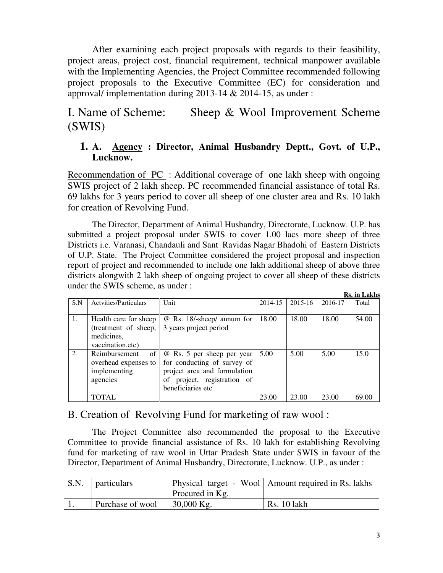After examining each project proposals with regards to their feasibility, project areas, project cost, financial requirement, technical manpower available with the Implementing Agencies, the Project Committee recommended following project proposals to the Executive Committee (EC) for consideration and approval/ implementation during 2013-14 & 2014-15, as under :

# I. Name of Scheme: Sheep & Wool Improvement Scheme (SWIS)

#### **1. A. Agency : Director, Animal Husbandry Deptt., Govt. of U.P., Lucknow.**

Recommendation of PC : Additional coverage of one lakh sheep with ongoing SWIS project of 2 lakh sheep. PC recommended financial assistance of total Rs. 69 lakhs for 3 years period to cover all sheep of one cluster area and Rs. 10 lakh for creation of Revolving Fund.

 The Director, Department of Animal Husbandry, Directorate, Lucknow. U.P. has submitted a project proposal under SWIS to cover 1.00 lacs more sheep of three Districts i.e. Varanasi, Chandauli and Sant Ravidas Nagar Bhadohi of Eastern Districts of U.P. State. The Project Committee considered the project proposal and inspection report of project and recommended to include one lakh additional sheep of above three districts alongwith 2 lakh sheep of ongoing project to cover all sheep of these districts under the SWIS scheme, as under : **Rs. in Lakhs**

|     |                                                                                 |                                                                                                                                               |         |         |         | INS. III L'AKIIS |
|-----|---------------------------------------------------------------------------------|-----------------------------------------------------------------------------------------------------------------------------------------------|---------|---------|---------|------------------|
| S.N | <b>Actvities/Particulars</b>                                                    | Unit                                                                                                                                          | 2014-15 | 2015-16 | 2016-17 | Total            |
| 1.  | Health care for sheep<br>(treatment of sheep,<br>medicines,<br>vaccination.etc) | @ Rs. 18/-sheep/ annum for<br>3 years project period                                                                                          | 18.00   | 18.00   | 18.00   | 54.00            |
| 2.  | of<br>Reimbursement<br>overhead expenses to<br>implementing<br>agencies         | @ Rs. 5 per sheep per year<br>for conducting of survey of<br>project area and formulation<br>of project, registration of<br>beneficiaries etc | 5.00    | 5.00    | 5.00    | 15.0             |
|     | TOTAL                                                                           |                                                                                                                                               | 23.00   | 23.00   | 23.00   | 69.00            |

#### B. Creation of Revolving Fund for marketing of raw wool :

The Project Committee also recommended the proposal to the Executive Committee to provide financial assistance of Rs. 10 lakh for establishing Revolving fund for marketing of raw wool in Uttar Pradesh State under SWIS in favour of the Director, Department of Animal Husbandry, Directorate, Lucknow. U.P., as under :

| S.N. | <i>particulars</i> | Procured in Kg. | Physical target - Wool   Amount required in Rs. lakhs |
|------|--------------------|-----------------|-------------------------------------------------------|
|      | Purchase of wool   | $30,000$ Kg.    | <b>Rs.</b> 10 lakh                                    |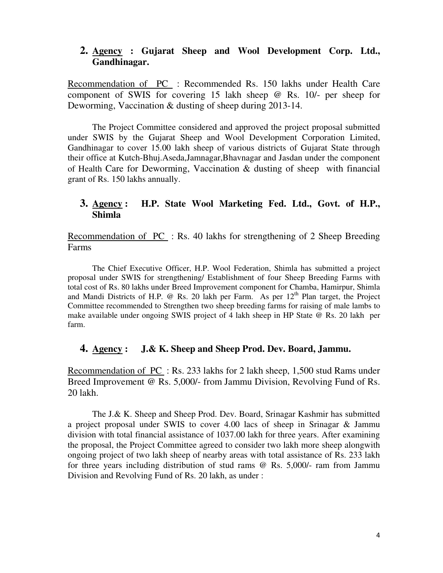#### **2. Agency : Gujarat Sheep and Wool Development Corp. Ltd., Gandhinagar.**

Recommendation of PC : Recommended Rs. 150 lakhs under Health Care component of SWIS for covering 15 lakh sheep @ Rs. 10/- per sheep for Deworming, Vaccination & dusting of sheep during 2013-14.

 The Project Committee considered and approved the project proposal submitted under SWIS by the Gujarat Sheep and Wool Development Corporation Limited, Gandhinagar to cover 15.00 lakh sheep of various districts of Gujarat State through their office at Kutch-Bhuj.Aseda,Jamnagar,Bhavnagar and Jasdan under the component of Health Care for Deworming, Vaccination & dusting of sheep with financial grant of Rs. 150 lakhs annually.

#### **3. Agency : H.P. State Wool Marketing Fed. Ltd., Govt. of H.P., Shimla**

Recommendation of PC : Rs. 40 lakhs for strengthening of 2 Sheep Breeding Farms

 The Chief Executive Officer, H.P. Wool Federation, Shimla has submitted a project proposal under SWIS for strengthening/ Establishment of four Sheep Breeding Farms with total cost of Rs. 80 lakhs under Breed Improvement component for Chamba, Hamirpur, Shimla and Mandi Districts of H.P.  $\omega$  Rs. 20 lakh per Farm. As per  $12<sup>th</sup>$  Plan target, the Project Committee recommended to Strengthen two sheep breeding farms for raising of male lambs to make available under ongoing SWIS project of 4 lakh sheep in HP State @ Rs. 20 lakh per farm.

#### **4. Agency : J.& K. Sheep and Sheep Prod. Dev. Board, Jammu.**

Recommendation of PC : Rs. 233 lakhs for 2 lakh sheep, 1,500 stud Rams under Breed Improvement @ Rs. 5,000/- from Jammu Division, Revolving Fund of Rs. 20 lakh.

 The J.& K. Sheep and Sheep Prod. Dev. Board, Srinagar Kashmir has submitted a project proposal under SWIS to cover 4.00 lacs of sheep in Srinagar & Jammu division with total financial assistance of 1037.00 lakh for three years. After examining the proposal, the Project Committee agreed to consider two lakh more sheep alongwith ongoing project of two lakh sheep of nearby areas with total assistance of Rs. 233 lakh for three years including distribution of stud rams @ Rs. 5,000/- ram from Jammu Division and Revolving Fund of Rs. 20 lakh, as under :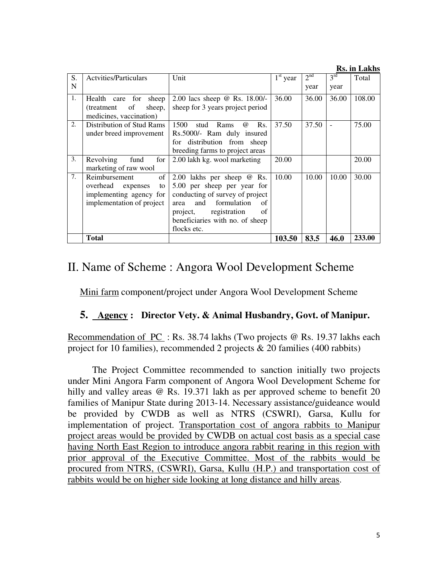**Rs. in Lakhs** S. N Actvities/Particulars Unit 1<sup>st</sup> year 2<sup>nd</sup> year 3 rd year Total 1. Health care for sheep (treatment of sheep, medicines, vaccination) 2.00 lacs sheep @ Rs. 18.00/ sheep for 3 years project period 36.00 36.00 36.00 108.00 2. Distribution of Stud Rams under breed improvement 1500 stud Rams @ Rs. Rs.5000/- Ram duly insured for distribution from sheep breeding farms to project areas 37.50 37.50 - 75.00 3. Revolving fund for marketing of raw wool 2.00 lakh kg. wool marketing 20.00 20.00 20.00 7. Reimbursement of overhead expenses to implementing agency for implementation of project 2.00 lakhs per sheep @ Rs. 5.00 per sheep per year for conducting of survey of project<br>area and formulation of area and formulation project, registration of beneficiaries with no. of sheep flocks etc. 10.00 10.00 30.00 **Total 103.50 83.5 46.0 233.00**

# II. Name of Scheme : Angora Wool Development Scheme

Mini farm component/project under Angora Wool Development Scheme

#### **5. Agency : Director Vety. & Animal Husbandry, Govt. of Manipur.**

Recommendation of PC : Rs. 38.74 lakhs (Two projects @ Rs. 19.37 lakhs each project for 10 families), recommended 2 projects & 20 families (400 rabbits)

 The Project Committee recommended to sanction initially two projects under Mini Angora Farm component of Angora Wool Development Scheme for hilly and valley areas @ Rs. 19.371 lakh as per approved scheme to benefit 20 families of Manipur State during 2013-14. Necessary assistance/guideance would be provided by CWDB as well as NTRS (CSWRI), Garsa, Kullu for implementation of project. Transportation cost of angora rabbits to Manipur project areas would be provided by CWDB on actual cost basis as a special case having North East Region to introduce angora rabbit rearing in this region with prior approval of the Executive Committee. Most of the rabbits would be procured from NTRS, (CSWRI), Garsa, Kullu (H.P.) and transportation cost of rabbits would be on higher side looking at long distance and hilly areas.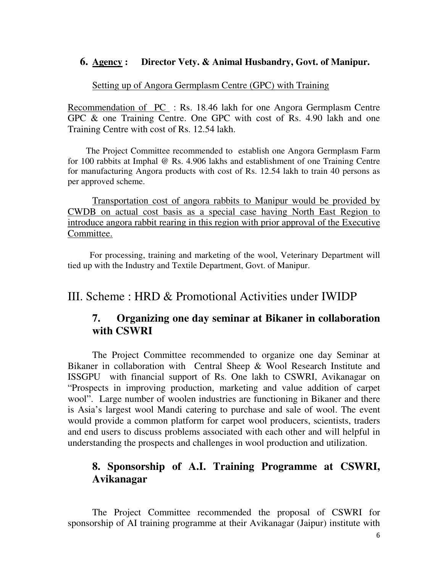#### **6. Agency : Director Vety. & Animal Husbandry, Govt. of Manipur.**

#### Setting up of Angora Germplasm Centre (GPC) with Training

Recommendation of PC : Rs. 18.46 lakh for one Angora Germplasm Centre GPC & one Training Centre. One GPC with cost of Rs. 4.90 lakh and one Training Centre with cost of Rs. 12.54 lakh.

 The Project Committee recommended to establish one Angora Germplasm Farm for 100 rabbits at Imphal @ Rs. 4.906 lakhs and establishment of one Training Centre for manufacturing Angora products with cost of Rs. 12.54 lakh to train 40 persons as per approved scheme.

Transportation cost of angora rabbits to Manipur would be provided by CWDB on actual cost basis as a special case having North East Region to introduce angora rabbit rearing in this region with prior approval of the Executive Committee.

 For processing, training and marketing of the wool, Veterinary Department will tied up with the Industry and Textile Department, Govt. of Manipur.

## III. Scheme : HRD & Promotional Activities under IWIDP

### **7. Organizing one day seminar at Bikaner in collaboration with CSWRI**

 The Project Committee recommended to organize one day Seminar at Bikaner in collaboration with Central Sheep & Wool Research Institute and ISSGPU with financial support of Rs. One lakh to CSWRI, Avikanagar on "Prospects in improving production, marketing and value addition of carpet wool". Large number of woolen industries are functioning in Bikaner and there is Asia's largest wool Mandi catering to purchase and sale of wool. The event would provide a common platform for carpet wool producers, scientists, traders and end users to discuss problems associated with each other and will helpful in understanding the prospects and challenges in wool production and utilization.

### **8. Sponsorship of A.I. Training Programme at CSWRI, Avikanagar**

 The Project Committee recommended the proposal of CSWRI for sponsorship of AI training programme at their Avikanagar (Jaipur) institute with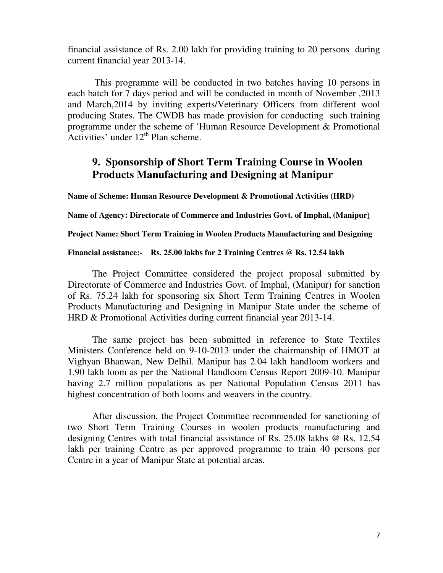financial assistance of Rs. 2.00 lakh for providing training to 20 persons during current financial year 2013-14.

 This programme will be conducted in two batches having 10 persons in each batch for 7 days period and will be conducted in month of November ,2013 and March,2014 by inviting experts/Veterinary Officers from different wool producing States. The CWDB has made provision for conducting such training programme under the scheme of 'Human Resource Development & Promotional Activities' under  $12<sup>th</sup>$  Plan scheme.

### **9. Sponsorship of Short Term Training Course in Woolen Products Manufacturing and Designing at Manipur**

**Name of Scheme: Human Resource Development & Promotional Activities (HRD)** 

**Name of Agency: Directorate of Commerce and Industries Govt. of Imphal, (Manipur)** 

**Project Name: Short Term Training in Woolen Products Manufacturing and Designing** 

**Financial assistance:- Rs. 25.00 lakhs for 2 Training Centres @ Rs. 12.54 lakh** 

 The Project Committee considered the project proposal submitted by Directorate of Commerce and Industries Govt. of Imphal, (Manipur) for sanction of Rs. 75.24 lakh for sponsoring six Short Term Training Centres in Woolen Products Manufacturing and Designing in Manipur State under the scheme of HRD & Promotional Activities during current financial year 2013-14.

 The same project has been submitted in reference to State Textiles Ministers Conference held on 9-10-2013 under the chairmanship of HMOT at Vighyan Bhanwan, New Delhil. Manipur has 2.04 lakh handloom workers and 1.90 lakh loom as per the National Handloom Census Report 2009-10. Manipur having 2.7 million populations as per National Population Census 2011 has highest concentration of both looms and weavers in the country.

After discussion, the Project Committee recommended for sanctioning of two Short Term Training Courses in woolen products manufacturing and designing Centres with total financial assistance of Rs. 25.08 lakhs @ Rs. 12.54 lakh per training Centre as per approved programme to train 40 persons per Centre in a year of Manipur State at potential areas.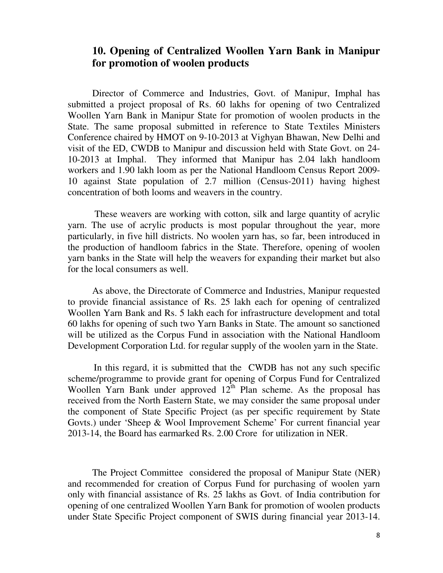### **10. Opening of Centralized Woollen Yarn Bank in Manipur for promotion of woolen products**

 Director of Commerce and Industries, Govt. of Manipur, Imphal has submitted a project proposal of Rs. 60 lakhs for opening of two Centralized Woollen Yarn Bank in Manipur State for promotion of woolen products in the State. The same proposal submitted in reference to State Textiles Ministers Conference chaired by HMOT on 9-10-2013 at Vighyan Bhawan, New Delhi and visit of the ED, CWDB to Manipur and discussion held with State Govt. on 24- 10-2013 at Imphal. They informed that Manipur has 2.04 lakh handloom workers and 1.90 lakh loom as per the National Handloom Census Report 2009- 10 against State population of 2.7 million (Census-2011) having highest concentration of both looms and weavers in the country.

 These weavers are working with cotton, silk and large quantity of acrylic yarn. The use of acrylic products is most popular throughout the year, more particularly, in five hill districts. No woolen yarn has, so far, been introduced in the production of handloom fabrics in the State. Therefore, opening of woolen yarn banks in the State will help the weavers for expanding their market but also for the local consumers as well.

 As above, the Directorate of Commerce and Industries, Manipur requested to provide financial assistance of Rs. 25 lakh each for opening of centralized Woollen Yarn Bank and Rs. 5 lakh each for infrastructure development and total 60 lakhs for opening of such two Yarn Banks in State. The amount so sanctioned will be utilized as the Corpus Fund in association with the National Handloom Development Corporation Ltd. for regular supply of the woolen yarn in the State.

 In this regard, it is submitted that the CWDB has not any such specific scheme/programme to provide grant for opening of Corpus Fund for Centralized Woollen Yarn Bank under approved  $12^{\text{th}}$  Plan scheme. As the proposal has received from the North Eastern State, we may consider the same proposal under the component of State Specific Project (as per specific requirement by State Govts.) under 'Sheep & Wool Improvement Scheme' For current financial year 2013-14, the Board has earmarked Rs. 2.00 Crore for utilization in NER.

 The Project Committee considered the proposal of Manipur State (NER) and recommended for creation of Corpus Fund for purchasing of woolen yarn only with financial assistance of Rs. 25 lakhs as Govt. of India contribution for opening of one centralized Woollen Yarn Bank for promotion of woolen products under State Specific Project component of SWIS during financial year 2013-14.